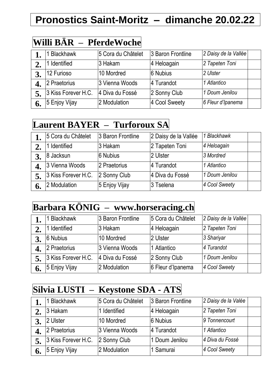## **Pronostics Saint-Moritz – dimanche 20.02.22**

## **Willi BÄR – PferdeWoche**

|              | 1 Blackhawk         | 5 Cora du Châtelet | 3 Baron Frontline | 2 Daisy de la Vallée |  |
|--------------|---------------------|--------------------|-------------------|----------------------|--|
| 2.           | 1 Identified        | 3 Hakam            | 4 Heloagain       | 2 Tapeten Toni       |  |
| $\mathbf{3}$ | 12 Furioso          | 10 Mordred         | 6 Nubius          | 2 Ulster             |  |
| 4.           | 2 Praetorius        | 3 Vienna Woods     | 4 Turandot        | 1 Atlantico          |  |
| 5.           | 3 Kiss Forever H.C. | 4 Diva du Fossé    | 2 Sonny Club      | 1 Doum Jenilou       |  |
| 6.           | 5 Enjoy Vijay       | 2 Modulation       | 4 Cool Sweety     | 6 Fleur d'Ipanema    |  |

#### **Laurent BAYER – Turforoux SA**

|    | 5 Cora du Châtelet  | 3 Baron Frontline | 2 Daisy de la Vallée | 1 Blackhawk    |  |
|----|---------------------|-------------------|----------------------|----------------|--|
|    | 1 Identified        | 3 Hakam           | 2 Tapeten Toni       | 4 Heloagain    |  |
|    | 8 Jacksun           | 6 Nubius          | 2 Ulster             | 3 Mordred      |  |
|    | 3 Vienna Woods      | 2 Praetorius      | 4 Turandot           | 1 Atlantico    |  |
| 5. | 3 Kiss Forever H.C. | 2 Sonny Club      | 4 Diva du Fossé      | 1 Doum Jenilou |  |
|    | 2 Modulation        | 5 Enjoy Vijay     | 3 Tselena            | 4 Cool Sweety  |  |

#### **Barbara KÖNIG – www.horseracing.ch**

|    | <b>Blackhawk</b>    | 3 Baron Frontline | 5 Cora du Châtelet | 2 Daisy de la Vallée |  |
|----|---------------------|-------------------|--------------------|----------------------|--|
| ∠. | Identified          | 3 Hakam           | 4 Heloagain        | 2 Tapeten Toni       |  |
|    | 6 Nubius            | 10 Mordred        | 2 Ulster           | 3 Shariyar           |  |
|    | 2 Praetorius        | 3 Vienna Woods    | Atlantico          | 4 Turandot           |  |
|    | 3 Kiss Forever H.C. | 4 Diva du Fossé   | 2 Sonny Club       | 1 Doum Jenilou       |  |
| 6. | 5 Enjoy Vijay       | 2 Modulation      | 6 Fleur d'Ipanema  | 4 Cool Sweety        |  |

#### **Silvia LUSTI – Keystone SDA - ATS**

|    | 1 Blackhawk         | 5 Cora du Châtelet | 3 Baron Frontline | 2 Daisy de la Valée |  |
|----|---------------------|--------------------|-------------------|---------------------|--|
|    | 3 Hakam             | Identified         | 4 Heloagain       | 2 Tapeten Toni      |  |
|    | 2 Ulster            | 10 Mordred         | 6 Nubius          | 9 Tonnencourt       |  |
|    | 2 Praetorius        | 3 Vienna Woods     | 4 Turandot        | 1 Atlantico         |  |
|    | 3 Kiss Forever H.C. | 2 Sonny Club       | 1 Doum Jenilou    | 4 Diva du Fossé     |  |
| 0. | 5 Enjoy Vijay       | 2 Modulation       | 1 Samurai         | 4 Cool Sweety       |  |